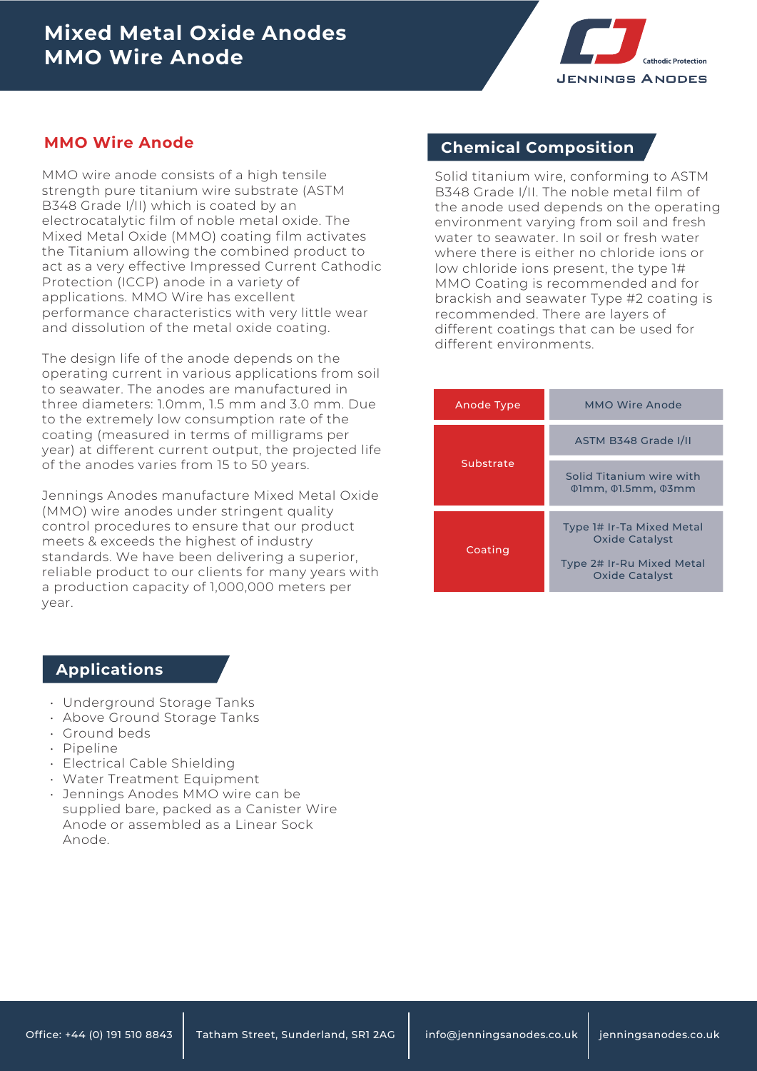

MMO wire anode consists of a high tensile strength pure titanium wire substrate (ASTM B348 Grade I/II) which is coated by an electrocatalytic film of noble metal oxide. The Mixed Metal Oxide (MMO) coating film activates the Titanium allowing the combined product to act as a very effective Impressed Current Cathodic Protection (ICCP) anode in a variety of applications. MMO Wire has excellent performance characteristics with very little wear and dissolution of the metal oxide coating.

The design life of the anode depends on the operating current in various applications from soil to seawater. The anodes are manufactured in three diameters: 1.0mm, 1.5 mm and 3.0 mm. Due to the extremely low consumption rate of the coating (measured in terms of milligrams per year) at different current output, the projected life of the anodes varies from 15 to 50 years.

Jennings Anodes manufacture Mixed Metal Oxide (MMO) wire anodes under stringent quality control procedures to ensure that our product meets & exceeds the highest of industry standards. We have been delivering a superior, reliable product to our clients for many years with a production capacity of 1,000,000 meters per year.

## **MMO Wire Anode Chemical Composition**

Solid titanium wire, conforming to ASTM B348 Grade I/II. The noble metal film of the anode used depends on the operating environment varying from soil and fresh water to seawater. In soil or fresh water where there is either no chloride ions or low chloride ions present, the type 1# MMO Coating is recommended and for brackish and seawater Type #2 coating is recommended. There are layers of different coatings that can be used for different environments.

| Anode Type | MMO Wire Anode                                                   |  |  |
|------------|------------------------------------------------------------------|--|--|
| Substrate  | ASTM B348 Grade I/II                                             |  |  |
|            | Solid Titanium wire with<br>$\phi$ 1mm, $\phi$ 1.5mm, $\phi$ 3mm |  |  |
| Coating    | Type 1# Ir-Ta Mixed Metal<br><b>Oxide Catalyst</b>               |  |  |
|            | Type 2# Ir-Ru Mixed Metal<br><b>Oxide Catalyst</b>               |  |  |

#### **Applications**

- Underground Storage Tanks •
- Above Ground Storage Tanks •
- Ground beds
- Pipeline
- Electrical Cable Shielding
- Water Treatment Equipment •
- Jennings Anodes MMO wire can be supplied bare, packed as a Canister Wire Anode or assembled as a Linear Sock Anode.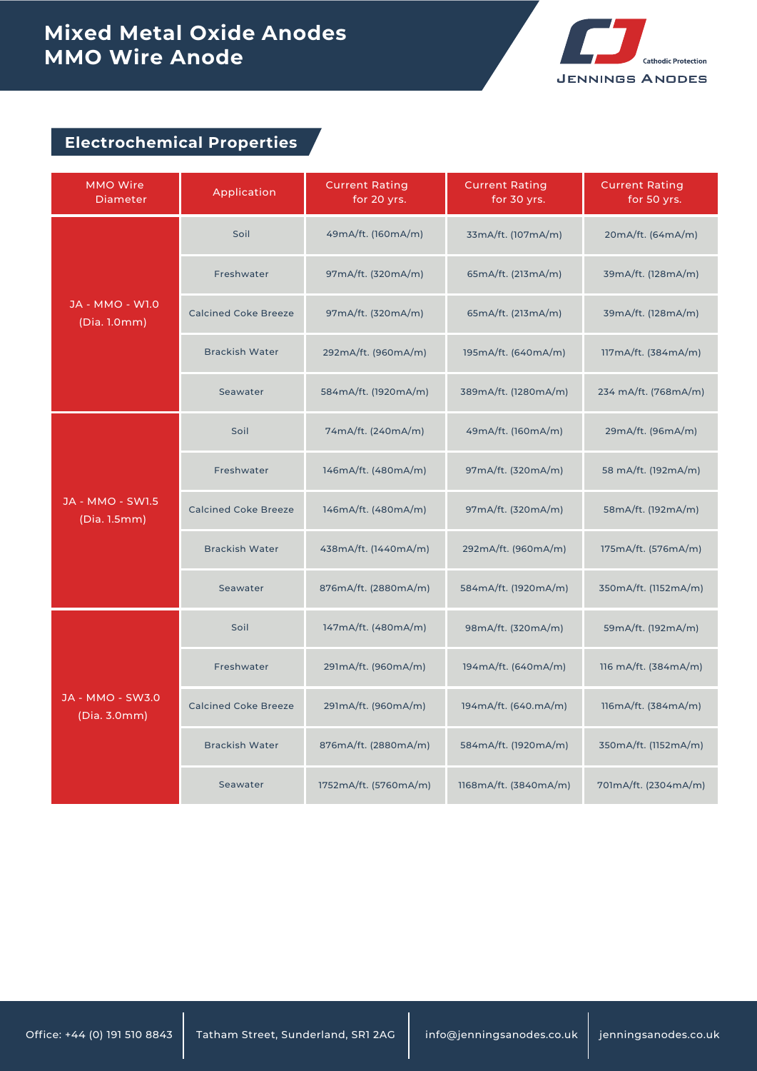# **Mixed Metal Oxide Anodes MMO Wire Anode**



## **Electrochemical Properties**

| <b>MMO Wire</b><br><b>Diameter</b>      | Application                 | <b>Current Rating</b><br>for 20 yrs. | <b>Current Rating</b><br>for 30 yrs. | <b>Current Rating</b><br>for 50 yrs. |
|-----------------------------------------|-----------------------------|--------------------------------------|--------------------------------------|--------------------------------------|
| <b>JA - MMO - W1.0</b><br>(Dia. 1.0mm)  | Soil                        | 49mA/ft. (160mA/m)                   | 33mA/ft. (107mA/m)                   | 20mA/ft. (64mA/m)                    |
|                                         | Freshwater                  | 97mA/ft. (320mA/m)                   | 65mA/ft. (213mA/m)                   | 39mA/ft. (128mA/m)                   |
|                                         | <b>Calcined Coke Breeze</b> | 97mA/ft. (320mA/m)                   | 65mA/ft. (213mA/m)                   | 39mA/ft. (128mA/m)                   |
|                                         | <b>Brackish Water</b>       | 292mA/ft. (960mA/m)                  | 195mA/ft. (640mA/m)                  | 117mA/ft. (384mA/m)                  |
|                                         | Seawater                    | 584mA/ft. (1920mA/m)                 | 389mA/ft. (1280mA/m)                 | 234 mA/ft. (768mA/m)                 |
| <b>JA - MMO - SW1.5</b><br>(Dia. 1.5mm) | Soil                        | 74mA/ft. (240mA/m)                   | 49mA/ft. (160mA/m)                   | 29mA/ft. (96mA/m)                    |
|                                         | Freshwater                  | 146mA/ft. (480mA/m)                  | 97mA/ft. (320mA/m)                   | 58 mA/ft. (192mA/m)                  |
|                                         | <b>Calcined Coke Breeze</b> | 146mA/ft. (480mA/m)                  | 97mA/ft. (320mA/m)                   | 58mA/ft. (192mA/m)                   |
|                                         | <b>Brackish Water</b>       | 438mA/ft. (1440mA/m)                 | 292mA/ft. (960mA/m)                  | 175mA/ft. (576mA/m)                  |
|                                         | Seawater                    | 876mA/ft. (2880mA/m)                 | 584mA/ft. (1920mA/m)                 | 350mA/ft. (1152mA/m)                 |
| <b>JA - MMO - SW3.0</b><br>(Dia. 3.0mm) | Soil                        | 147mA/ft. (480mA/m)                  | 98mA/ft. (320mA/m)                   | 59mA/ft. (192mA/m)                   |
|                                         | Freshwater                  | 291mA/ft. (960mA/m)                  | 194mA/ft. (640mA/m)                  | 116 mA/ft. (384mA/m)                 |
|                                         | <b>Calcined Coke Breeze</b> | 291mA/ft. (960mA/m)                  | 194mA/ft. (640.mA/m)                 | 116mA/ft. (384mA/m)                  |
|                                         | <b>Brackish Water</b>       | 876mA/ft. (2880mA/m)                 | 584mA/ft. (1920mA/m)                 | 350mA/ft. (1152mA/m)                 |
|                                         | Seawater                    | 1752mA/ft. (5760mA/m)                | 1168mA/ft. (3840mA/m)                | 701mA/ft. (2304mA/m)                 |